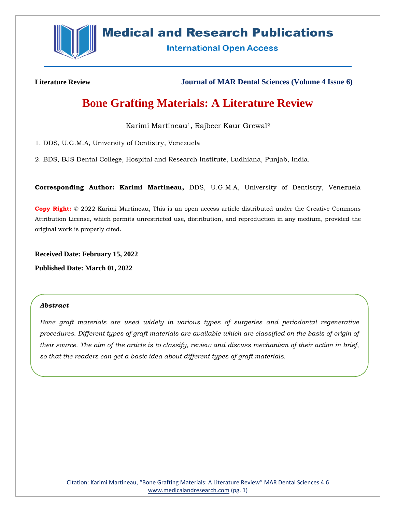

# **Medical and Research Publications**

**International Open Access** 

**Literature Review Journal of MAR Dental Sciences (Volume 4 Issue 6)**

# **Bone Grafting Materials: A Literature Review**

Karimi Martineau<sup>1</sup>, Rajbeer Kaur Grewal<sup>2</sup>

1. DDS, U.G.M.A, University of Dentistry, Venezuela

2. BDS, BJS Dental College, Hospital and Research Institute, Ludhiana, Punjab, India.

**Corresponding Author: Karimi Martineau,** DDS, U.G.M.A, University of Dentistry, Venezuela

**Copy Right:** © 2022 Karimi Martineau, This is an open access article distributed under the Creative Commons Attribution License, which permits unrestricted use, distribution, and reproduction in any medium, provided the original work is properly cited.

**Received Date: February 15, 2022**

**Published Date: March 01, 2022**

#### *Abstract*

*Bone graft materials are used widely in various types of surgeries and periodontal regenerative procedures. Different types of graft materials are available which are classified on the basis of origin of their source. The aim of the article is to classify, review and discuss mechanism of their action in brief, so that the readers can get a basic idea about different types of graft materials.*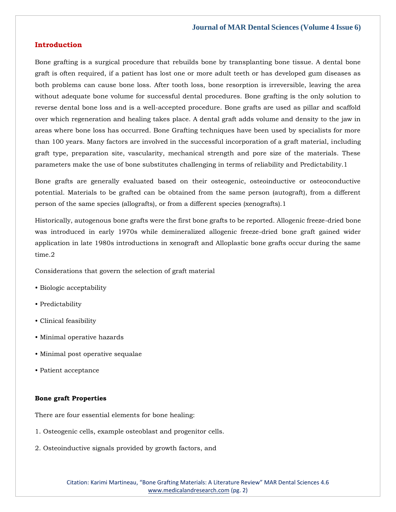#### **Introduction**

Bone grafting is a surgical procedure that rebuilds bone by transplanting bone tissue. A dental bone graft is often required, if a patient has lost one or more adult teeth or has developed gum diseases as both problems can cause bone loss. After tooth loss, bone resorption is irreversible, leaving the area without adequate bone volume for successful dental procedures. Bone grafting is the only solution to reverse dental bone loss and is a well-accepted procedure. Bone grafts are used as pillar and scaffold over which regeneration and healing takes place. A dental graft adds volume and density to the jaw in areas where bone loss has occurred. Bone Grafting techniques have been used by specialists for more than 100 years. Many factors are involved in the successful incorporation of a graft material, including graft type, preparation site, vascularity, mechanical strength and pore size of the materials. These parameters make the use of bone substitutes challenging in terms of reliability and Predictability.1

Bone grafts are generally evaluated based on their osteogenic, osteoinductive or osteoconductive potential. Materials to be grafted can be obtained from the same person (autograft), from a different person of the same species (allografts), or from a different species (xenografts).1

Historically, autogenous bone grafts were the first bone grafts to be reported. Allogenic freeze-dried bone was introduced in early 1970s while demineralized allogenic freeze-dried bone graft gained wider application in late 1980s introductions in xenograft and Alloplastic bone grafts occur during the same time.2

Considerations that govern the selection of graft material

- Biologic acceptability
- Predictability
- Clinical feasibility
- Minimal operative hazards
- Minimal post operative sequalae
- Patient acceptance

### **Bone graft Properties**

There are four essential elements for bone healing:

- 1. Osteogenic cells, example osteoblast and progenitor cells.
- 2. Osteoinductive signals provided by growth factors, and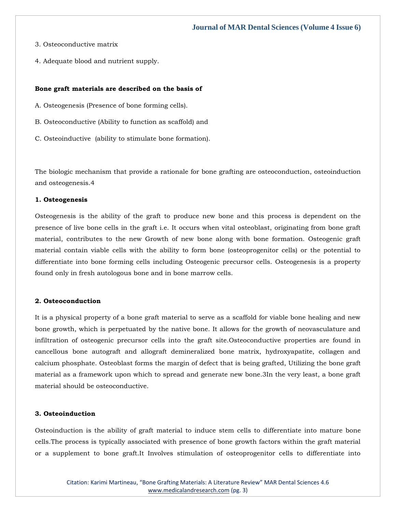- 3. Osteoconductive matrix
- 4. Adequate blood and nutrient supply.

#### **Bone graft materials are described on the basis of**

- A. Osteogenesis (Presence of bone forming cells).
- B. Osteoconductive (Ability to function as scaffold) and
- C. Osteoinductive (ability to stimulate bone formation).

The biologic mechanism that provide a rationale for bone grafting are osteoconduction, osteoinduction and osteogenesis.4

# **1. Osteogenesis**

Osteogenesis is the ability of the graft to produce new bone and this process is dependent on the presence of live bone cells in the graft i.e. It occurs when vital osteoblast, originating from bone graft material, contributes to the new Growth of new bone along with bone formation. Osteogenic graft material contain viable cells with the ability to form bone (osteoprogenitor cells) or the potential to differentiate into bone forming cells including Osteogenic precursor cells. Osteogenesis is a property found only in fresh autologous bone and in bone marrow cells.

#### **2. Osteoconduction**

It is a physical property of a bone graft material to serve as a scaffold for viable bone healing and new bone growth, which is perpetuated by the native bone. It allows for the growth of neovasculature and infiltration of osteogenic precursor cells into the graft site.Osteoconductive properties are found in cancellous bone autograft and allograft demineralized bone matrix, hydroxyapatite, collagen and calcium phosphate. Osteoblast forms the margin of defect that is being grafted, Utilizing the bone graft material as a framework upon which to spread and generate new bone.3In the very least, a bone graft material should be osteoconductive.

#### **3. Osteoinduction**

Osteoinduction is the ability of graft material to induce stem cells to differentiate into mature bone cells.The process is typically associated with presence of bone growth factors within the graft material or a supplement to bone graft.It Involves stimulation of osteoprogenitor cells to differentiate into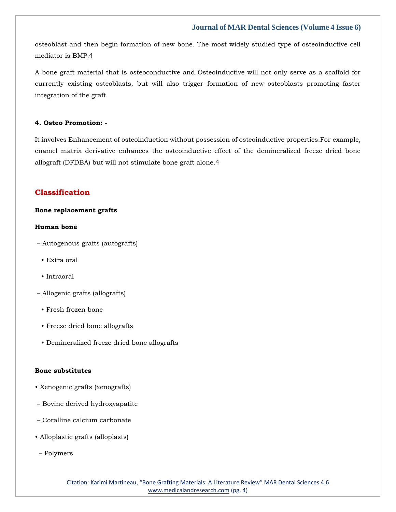osteoblast and then begin formation of new bone. The most widely studied type of osteoinductive cell mediator is BMP.4

A bone graft material that is osteoconductive and Osteoinductive will not only serve as a scaffold for currently existing osteoblasts, but will also trigger formation of new osteoblasts promoting faster integration of the graft.

### **4. Osteo Promotion: -**

It involves Enhancement of osteoinduction without possession of osteoinductive properties.For example, enamel matrix derivative enhances the osteoinductive effect of the demineralized freeze dried bone allograft (DFDBA) but will not stimulate bone graft alone.4

# **Classification**

# **Bone replacement grafts**

#### **Human bone**

- Autogenous grafts (autografts)
	- Extra oral
	- Intraoral
- Allogenic grafts (allografts)
	- Fresh frozen bone
	- Freeze dried bone allografts
	- Demineralized freeze dried bone allografts

## **Bone substitutes**

- Xenogenic grafts (xenografts)
- Bovine derived hydroxyapatite
- Coralline calcium carbonate
- Alloplastic grafts (alloplasts)
- Polymers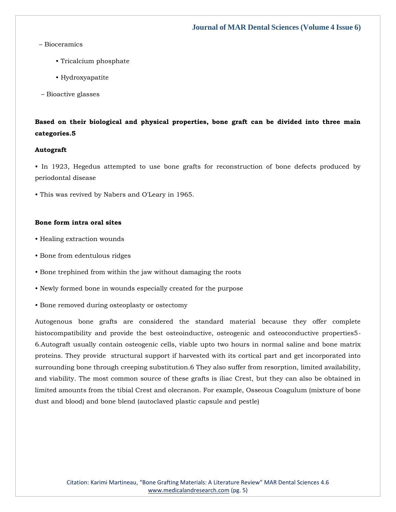## – Bioceramics

- Tricalcium phosphate
- Hydroxyapatite
- Bioactive glasses

# **Based on their biological and physical properties, bone graft can be divided into three main categories.5**

#### **Autograft**

• In 1923, Hegedus attempted to use bone grafts for reconstruction of bone defects produced by periodontal disease

• This was revived by Nabers and O'Leary in 1965.

### **Bone form intra oral sites**

- Healing extraction wounds
- Bone from edentulous ridges
- Bone trephined from within the jaw without damaging the roots
- Newly formed bone in wounds especially created for the purpose
- Bone removed during osteoplasty or ostectomy

Autogenous bone grafts are considered the standard material because they offer complete histocompatibility and provide the best osteoinductive, osteogenic and osteoconductive properties5- 6.Autograft usually contain osteogenic cells, viable upto two hours in normal saline and bone matrix proteins. They provide structural support if harvested with its cortical part and get incorporated into surrounding bone through creeping substitution.6 They also suffer from resorption, limited availability, and viability. The most common source of these grafts is iliac Crest, but they can also be obtained in limited amounts from the tibial Crest and olecranon. For example, Osseous Coagulum (mixture of bone dust and blood) and bone blend (autoclaved plastic capsule and pestle)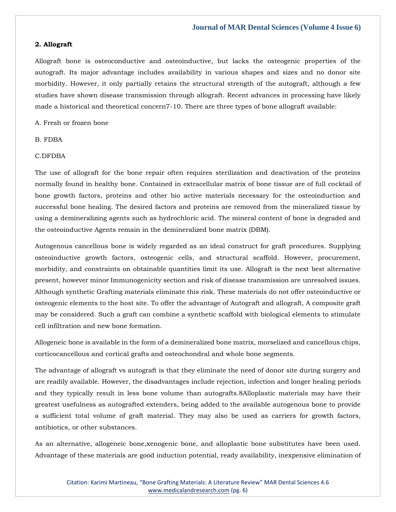#### **2. Allograft**

Allograft bone is osteoconductive and osteoinductive, but lacks the osteogenic properties of the autograft. Its major advantage includes availability in various shapes and sizes and no donor site morbidity. However, it only partially retains the structural strength of the autograft, although a few studies have shown disease transmission through allograft. Recent advances in processing have likely made a historical and theoretical concern7-10. There are three types of bone allograft available:

A. Fresh or frozen bone

#### B. FDBA

### C.DFDBA

The use of allograft for the bone repair often requires sterilization and deactivation of the proteins normally found in healthy bone. Contained in extracellular matrix of bone tissue are of full cocktail of bone growth factors, proteins and other bio active materials necessary for the osteoinduction and successful bone healing. The desired factors and proteins are removed from the mineralized tissue by using a demineralizing agents such as hydrochloric acid. The mineral content of bone is degraded and the osteoinductive Agents remain in the demineralized bone matrix (DBM).

Autogenous cancellous bone is widely regarded as an ideal construct for graft procedures. Supplying osteoinductive growth factors, osteogenic cells, and structural scaffold. However, procurement, morbidity, and constraints on obtainable quantities limit its use. Allograft is the next best alternative present, however minor Immunogenicity section and risk of disease transmission are unresolved issues. Although synthetic Grafting materials eliminate this risk. These materials do not offer osteoinductive or osteogenic elements to the host site. To offer the advantage of Autograft and allograft, A composite graft may be considered. Such a graft can combine a synthetic scaffold with biological elements to stimulate cell infiltration and new bone formation.

Allogeneic bone is available in the form of a demineralized bone matrix, morselized and cancellous chips, corticocancellous and cortical grafts and osteochondral and whole bone segments.

The advantage of allograft vs autograft is that they eliminate the need of donor site during surgery and are readily available. However, the disadvantages include rejection, infection and longer healing periods and they typically result in less bone volume than autografts.8Alloplastic materials may have their greatest usefulness as autografted extenders, being added to the available autogenous bone to provide a sufficient total volume of graft material. They may also be used as carriers for growth factors, antibiotics, or other substances.

As an alternative, allogeneic bone,xenogenic bone, and alloplastic bone substitutes have been used. Advantage of these materials are good induction potential, ready availability, inexpensive elimination of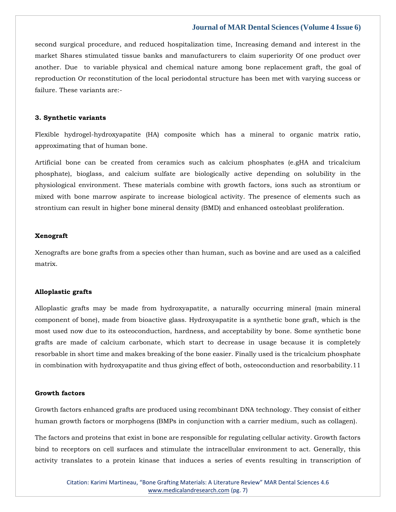second surgical procedure, and reduced hospitalization time, Increasing demand and interest in the market Shares stimulated tissue banks and manufacturers to claim superiority Of one product over another. Due to variable physical and chemical nature among bone replacement graft, the goal of reproduction Or reconstitution of the local periodontal structure has been met with varying success or failure. These variants are:-

#### **3. Synthetic variants**

Flexible hydrogel-hydroxyapatite (HA) composite which has a mineral to organic matrix ratio, approximating that of human bone.

Artificial bone can be created from ceramics such as calcium phosphates (e.gHA and tricalcium phosphate), bioglass, and calcium sulfate are biologically active depending on solubility in the physiological environment. These materials combine with growth factors, ions such as strontium or mixed with bone marrow aspirate to increase biological activity. The presence of elements such as strontium can result in higher bone mineral density (BMD) and enhanced osteoblast proliferation.

#### **Xenograft**

Xenografts are bone grafts from a species other than human, such as bovine and are used as a calcified matrix.

#### **Alloplastic grafts**

Alloplastic grafts may be made from hydroxyapatite, a naturally occurring mineral (main mineral component of bone), made from bioactive glass. Hydroxyapatite is a synthetic bone graft, which is the most used now due to its osteoconduction, hardness, and acceptability by bone. Some synthetic bone grafts are made of calcium carbonate, which start to decrease in usage because it is completely resorbable in short time and makes breaking of the bone easier. Finally used is the tricalcium phosphate in combination with hydroxyapatite and thus giving effect of both, osteoconduction and resorbability.11

#### **Growth factors**

Growth factors enhanced grafts are produced using recombinant DNA technology. They consist of either human growth factors or morphogens (BMPs in conjunction with a carrier medium, such as collagen).

The factors and proteins that exist in bone are responsible for regulating cellular activity. Growth factors bind to receptors on cell surfaces and stimulate the intracellular environment to act. Generally, this activity translates to a protein kinase that induces a series of events resulting in transcription of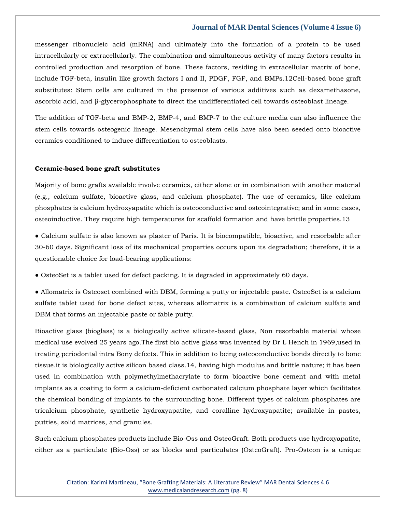messenger ribonucleic acid (mRNA) and ultimately into the formation of a protein to be used intracellularly or extracellularly. The combination and simultaneous activity of many factors results in controlled production and resorption of bone. These factors, residing in extracellular matrix of bone, include TGF-beta, insulin like growth factors I and II, PDGF, FGF, and BMPs.12Cell-based bone graft substitutes: Stem cells are cultured in the presence of various additives such as dexamethasone, ascorbic acid, and β-glycerophosphate to direct the undifferentiated cell towards osteoblast lineage.

The addition of TGF-beta and BMP-2, BMP-4, and BMP-7 to the culture media can also influence the stem cells towards osteogenic lineage. Mesenchymal stem cells have also been seeded onto bioactive ceramics conditioned to induce differentiation to osteoblasts.

#### **Ceramic-based bone graft substitutes**

Majority of bone grafts available involve ceramics, either alone or in combination with another material (e.g., calcium sulfate, bioactive glass, and calcium phosphate). The use of ceramics, like calcium phosphates is calcium hydroxyapatite which is osteoconductive and osteointegrative; and in some cases, osteoinductive. They require high temperatures for scaffold formation and have brittle properties.13

● Calcium sulfate is also known as plaster of Paris. It is biocompatible, bioactive, and resorbable after 30-60 days. Significant loss of its mechanical properties occurs upon its degradation; therefore, it is a questionable choice for load-bearing applications:

● OsteoSet is a tablet used for defect packing. It is degraded in approximately 60 days.

● Allomatrix is Osteoset combined with DBM, forming a putty or injectable paste. OsteoSet is a calcium sulfate tablet used for bone defect sites, whereas allomatrix is a combination of calcium sulfate and DBM that forms an injectable paste or fable putty.

Bioactive glass (bioglass) is a biologically active silicate-based glass, Non resorbable material whose medical use evolved 25 years ago.The first bio active glass was invented by Dr L Hench in 1969,used in treating periodontal intra Bony defects. This in addition to being osteoconductive bonds directly to bone tissue.it is biologically active silicon based class.14, having high modulus and brittle nature; it has been used in combination with polymethylmethacrylate to form bioactive bone cement and with metal implants as a coating to form a calcium-deficient carbonated calcium phosphate layer which facilitates the chemical bonding of implants to the surrounding bone. Different types of calcium phosphates are tricalcium phosphate, synthetic hydroxyapatite, and coralline hydroxyapatite; available in pastes, putties, solid matrices, and granules.

Such calcium phosphates products include Bio-Oss and OsteoGraft. Both products use hydroxyapatite, either as a particulate (Bio-Oss) or as blocks and particulates (OsteoGraft). Pro-Osteon is a unique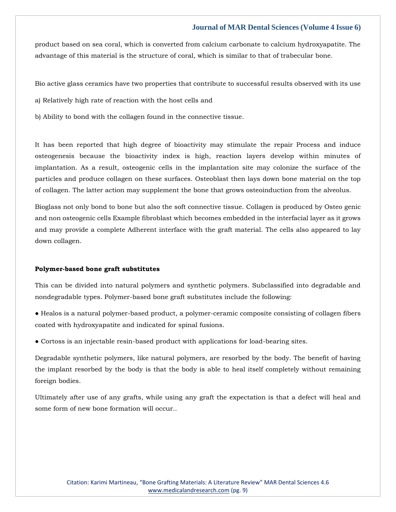product based on sea coral, which is converted from calcium carbonate to calcium hydroxyapatite. The advantage of this material is the structure of coral, which is similar to that of trabecular bone.

Bio active glass ceramics have two properties that contribute to successful results observed with its use

a) Relatively high rate of reaction with the host cells and

b) Ability to bond with the collagen found in the connective tissue.

It has been reported that high degree of bioactivity may stimulate the repair Process and induce osteogenesis because the bioactivity index is high, reaction layers develop within minutes of implantation. As a result, osteogenic cells in the implantation site may colonize the surface of the particles and produce collagen on these surfaces. Osteoblast then lays down bone material on the top of collagen. The latter action may supplement the bone that grows osteoinduction from the alveolus.

Bioglass not only bond to bone but also the soft connective tissue. Collagen is produced by Osteo genic and non osteogenic cells Example fibroblast which becomes embedded in the interfacial layer as it grows and may provide a complete Adherent interface with the graft material. The cells also appeared to lay down collagen.

#### **Polymer-based bone graft substitutes**

This can be divided into natural polymers and synthetic polymers. Subclassified into degradable and nondegradable types. Polymer-based bone graft substitutes include the following:

- Healos is a natural polymer-based product, a polymer-ceramic composite consisting of collagen fibers coated with hydroxyapatite and indicated for spinal fusions.
- Cortoss is an injectable resin-based product with applications for load-bearing sites.

Degradable synthetic polymers, like natural polymers, are resorbed by the body. The benefit of having the implant resorbed by the body is that the body is able to heal itself completely without remaining foreign bodies.

Ultimately after use of any grafts, while using any graft the expectation is that a defect will heal and some form of new bone formation will occur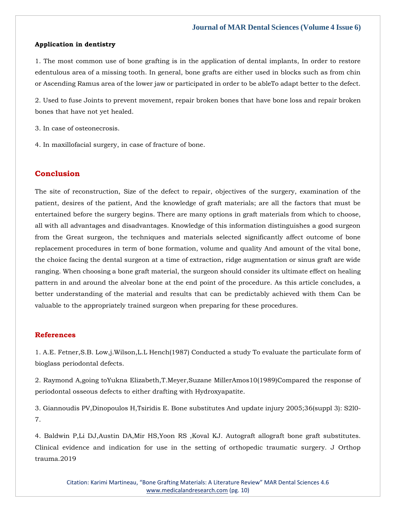#### **Application in dentistry**

1. The most common use of bone grafting is in the application of dental implants, In order to restore edentulous area of a missing tooth. In general, bone grafts are either used in blocks such as from chin or Ascending Ramus area of the lower jaw or participated in order to be ableTo adapt better to the defect.

2. Used to fuse Joints to prevent movement, repair broken bones that have bone loss and repair broken bones that have not yet healed.

3. In case of osteonecrosis.

4. In maxillofacial surgery, in case of fracture of bone.

# **Conclusion**

The site of reconstruction, Size of the defect to repair, objectives of the surgery, examination of the patient, desires of the patient, And the knowledge of graft materials; are all the factors that must be entertained before the surgery begins. There are many options in graft materials from which to choose, all with all advantages and disadvantages. Knowledge of this information distinguishes a good surgeon from the Great surgeon, the techniques and materials selected significantly affect outcome of bone replacement procedures in term of bone formation, volume and quality And amount of the vital bone, the choice facing the dental surgeon at a time of extraction, ridge augmentation or sinus graft are wide ranging. When choosing a bone graft material, the surgeon should consider its ultimate effect on healing pattern in and around the alveolar bone at the end point of the procedure. As this article concludes, a better understanding of the material and results that can be predictably achieved with them Can be valuable to the appropriately trained surgeon when preparing for these procedures.

# **References**

[1. A.E. Fetner,S.B. Low,j.Wilson,L.L Hench\(1987\) Conducted a study To evaluate the particulate form of](https://www.google.com/search?q=Conducted+a+study+To+evaluate+the+particulate+form+of+bioglass+periodontal+defects.&oq=Conducted+a+study+To+evaluate+the+particulate+form+of+bioglass+periodontal+defects.&aqs=chrome..69i57.1074j0j7&sourceid=chrome&ie=UTF-8)  [bioglass periodontal defects.](https://www.google.com/search?q=Conducted+a+study+To+evaluate+the+particulate+form+of+bioglass+periodontal+defects.&oq=Conducted+a+study+To+evaluate+the+particulate+form+of+bioglass+periodontal+defects.&aqs=chrome..69i57.1074j0j7&sourceid=chrome&ie=UTF-8)

[2. Raymond A,going toYukna Elizabeth,T.Meyer,Suzane MillerAmos10\(1989\)Compared the response of](https://www.google.com/search?q=Compared+the+response+of+periodontal+osseous+defects+to+either+drafting+with+Hydroxyapatite.&sxsrf=APq-WBtFB0lRc9137BkI5qdM1jZ7STR6oQ%3A1645161589180&ei=dSwPYoStCuGZmge1qIrYBg&ved=0ahUKEwjEu_vAwIj2AhXhjOYKHTWUAmsQ4dUDCA4&uact=5&oq=Compared+the+response+of+periodontal+osseous+defects+to+either+drafting+with+Hydroxyapatite.&gs_lcp=Cgdnd3Mtd2l6EAM6BwgjEOoCECdKBAhBGABKBAhGGABQrgNYrgNghwxoAXAAeACAAZcBiAGXAZIBAzAuMZgBAKABAaABArABCsABAQ&sclient=gws-wiz)  periodontal osseous defects [to either drafting with Hydroxyapatite.](https://www.google.com/search?q=Compared+the+response+of+periodontal+osseous+defects+to+either+drafting+with+Hydroxyapatite.&sxsrf=APq-WBtFB0lRc9137BkI5qdM1jZ7STR6oQ%3A1645161589180&ei=dSwPYoStCuGZmge1qIrYBg&ved=0ahUKEwjEu_vAwIj2AhXhjOYKHTWUAmsQ4dUDCA4&uact=5&oq=Compared+the+response+of+periodontal+osseous+defects+to+either+drafting+with+Hydroxyapatite.&gs_lcp=Cgdnd3Mtd2l6EAM6BwgjEOoCECdKBAhBGABKBAhGGABQrgNYrgNghwxoAXAAeACAAZcBiAGXAZIBAzAuMZgBAKABAaABArABCsABAQ&sclient=gws-wiz)

[3. Giannoudis PV,Dinopoulos H,Tsiridis E. Bone substitutes And update injury 2005;36\(suppl 3\): S2l0-](https://www.google.com/search?q=Bone+substitutes+And+update+injury+&sxsrf=APq-WBvpGj_fNB6OpjQ8146VVdWDLtmtBg%3A1645161632982&ei=oCwPYoKxO_Daz7sP6aCQsAM&ved=0ahUKEwiCge3VwIj2AhVw7XMBHWkQBDYQ4dUDCA4&oq=Bone+substitutes+And+update+injury+&gs_lcp=Cgdnd3Mtd2l6EAwyBggAEBYQHjoHCCMQ6gIQJ0oECEEYAEoECEYYAFCKCFiKCGC6DWgBcAF4AIABrwGIAa8BkgEDMC4xmAEAoAEBoAECsAEKwAEB&sclient=gws-wiz) [7.](https://www.google.com/search?q=Bone+substitutes+And+update+injury+&sxsrf=APq-WBvpGj_fNB6OpjQ8146VVdWDLtmtBg%3A1645161632982&ei=oCwPYoKxO_Daz7sP6aCQsAM&ved=0ahUKEwiCge3VwIj2AhVw7XMBHWkQBDYQ4dUDCA4&oq=Bone+substitutes+And+update+injury+&gs_lcp=Cgdnd3Mtd2l6EAwyBggAEBYQHjoHCCMQ6gIQJ0oECEEYAEoECEYYAFCKCFiKCGC6DWgBcAF4AIABrwGIAa8BkgEDMC4xmAEAoAEBoAECsAEKwAEB&sclient=gws-wiz)

[4. Baldwin P,Li DJ,Austin DA,Mir HS,Yoon RS ,Koval KJ. Autograft allograft bone graft substitutes.](https://www.google.com/search?q=Autograft+allograft+bone+graft+substitutes&sxsrf=APq-WBuRoQQDxRg4J6w1Owdxr3AZM8yW5Q%3A1645161746478&ei=Ei0PYrvCHIyhseMP6sCk2A0&ved=0ahUKEwi7k_yLwYj2AhWMUGwGHWogCdsQ4dUDCA4&oq=Autograft+allograft+bone+graft+substitutes&gs_lcp=Cgdnd3Mtd2l6EAwyBQgAEKIEMgUIABCiBDIFCAAQogQ6BwgjEOoCECdKBAhBGABKBAhGGABQrARYrARgzApoAXABeACAAZgEiAGYBJIBAzUtMZgBAKABAaABArABCsABAQ&sclient=gws-wiz)  [Clinical evidence and indication for use in the setting of orthopedic traumatic surgery. J Orthop](https://www.google.com/search?q=Autograft+allograft+bone+graft+substitutes&sxsrf=APq-WBuRoQQDxRg4J6w1Owdxr3AZM8yW5Q%3A1645161746478&ei=Ei0PYrvCHIyhseMP6sCk2A0&ved=0ahUKEwi7k_yLwYj2AhWMUGwGHWogCdsQ4dUDCA4&oq=Autograft+allograft+bone+graft+substitutes&gs_lcp=Cgdnd3Mtd2l6EAwyBQgAEKIEMgUIABCiBDIFCAAQogQ6BwgjEOoCECdKBAhBGABKBAhGGABQrARYrARgzApoAXABeACAAZgEiAGYBJIBAzUtMZgBAKABAaABArABCsABAQ&sclient=gws-wiz)  [trauma.2019](https://www.google.com/search?q=Autograft+allograft+bone+graft+substitutes&sxsrf=APq-WBuRoQQDxRg4J6w1Owdxr3AZM8yW5Q%3A1645161746478&ei=Ei0PYrvCHIyhseMP6sCk2A0&ved=0ahUKEwi7k_yLwYj2AhWMUGwGHWogCdsQ4dUDCA4&oq=Autograft+allograft+bone+graft+substitutes&gs_lcp=Cgdnd3Mtd2l6EAwyBQgAEKIEMgUIABCiBDIFCAAQogQ6BwgjEOoCECdKBAhBGABKBAhGGABQrARYrARgzApoAXABeACAAZgEiAGYBJIBAzUtMZgBAKABAaABArABCsABAQ&sclient=gws-wiz)